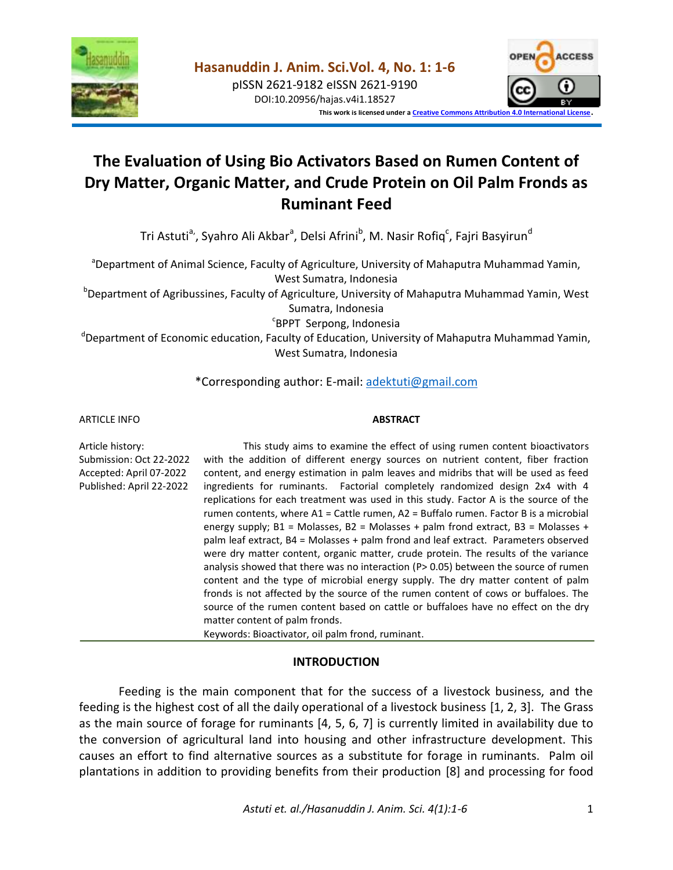

DOI:10.20956/hajas.v4i1.18527



**This work is licensed under [a Creative Commons Attribution 4.0 International License](http://creativecommons.org/licenses/by/4.0/)**.

# **The Evaluation of Using Bio Activators Based on Rumen Content of Dry Matter, Organic Matter, and Crude Protein on Oil Palm Fronds as Ruminant Feed**

Tri Astuti<sup>a,</sup>, Syahro Ali Akbar<sup>a</sup>, Delsi Afrini<sup>b</sup>, M. Nasir Rofiq<sup>c</sup>, Fajri Basyirun<sup>d</sup>

<sup>a</sup>Department of Animal Science, Faculty of Agriculture, University of Mahaputra Muhammad Yamin, West Sumatra, Indonesia

<sup>b</sup>Department of Agribussines, Faculty of Agriculture, University of Mahaputra Muhammad Yamin, West Sumatra, Indonesia

c BPPT Serpong, Indonesia

<sup>d</sup>Department of Economic education, Faculty of Education, University of Mahaputra Muhammad Yamin, West Sumatra, Indonesia

## \*Corresponding author: E-mail: [adektuti@gmail.com](mailto:adektuti@gmail.com)

#### ARTICLE INFO

#### **ABSTRACT**

Article history: Submission: Oct 22-2022 Accepted: April 07-2022 Published: April 22-2022 This study aims to examine the effect of using rumen content bioactivators with the addition of different energy sources on nutrient content, fiber fraction content, and energy estimation in palm leaves and midribs that will be used as feed ingredients for ruminants. Factorial completely randomized design 2x4 with 4 replications for each treatment was used in this study. Factor A is the source of the rumen contents, where A1 = Cattle rumen, A2 = Buffalo rumen. Factor B is a microbial energy supply;  $B1 = Molasses$ ,  $B2 = Molasses + palm$  frond extract,  $B3 = Molasses +$ palm leaf extract, B4 = Molasses + palm frond and leaf extract. Parameters observed were dry matter content, organic matter, crude protein. The results of the variance analysis showed that there was no interaction ( $P> 0.05$ ) between the source of rumen content and the type of microbial energy supply. The dry matter content of palm fronds is not affected by the source of the rumen content of cows or buffaloes. The source of the rumen content based on cattle or buffaloes have no effect on the dry matter content of palm fronds. Keywords: Bioactivator, oil palm frond, ruminant.

## **INTRODUCTION**

Feeding is the main component that for the success of a livestock business, and the feeding is the highest cost of all the daily operational of a livestock business [1, 2, 3]. The Grass as the main source of forage for ruminants [4, 5, 6, 7] is currently limited in availability due to the conversion of agricultural land into housing and other infrastructure development. This causes an effort to find alternative sources as a substitute for forage in ruminants. Palm oil plantations in addition to providing benefits from their production [8] and processing for food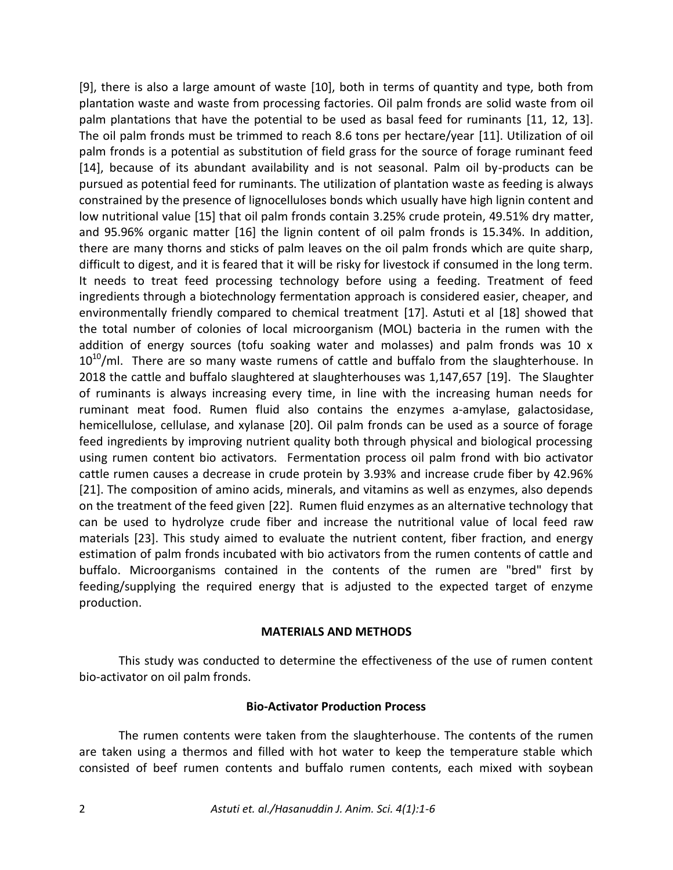[9], there is also a large amount of waste [10], both in terms of quantity and type, both from plantation waste and waste from processing factories. Oil palm fronds are solid waste from oil palm plantations that have the potential to be used as basal feed for ruminants [11, 12, 13]. The oil palm fronds must be trimmed to reach 8.6 tons per hectare/year [11]. Utilization of oil palm fronds is a potential as substitution of field grass for the source of forage ruminant feed [14], because of its abundant availability and is not seasonal. Palm oil by-products can be pursued as potential feed for ruminants. The utilization of plantation waste as feeding is always constrained by the presence of lignocelluloses bonds which usually have high lignin content and low nutritional value [15] that oil palm fronds contain 3.25% crude protein, 49.51% dry matter, and 95.96% organic matter [16] the lignin content of oil palm fronds is 15.34%. In addition, there are many thorns and sticks of palm leaves on the oil palm fronds which are quite sharp, difficult to digest, and it is feared that it will be risky for livestock if consumed in the long term. It needs to treat feed processing technology before using a feeding. Treatment of feed ingredients through a biotechnology fermentation approach is considered easier, cheaper, and environmentally friendly compared to chemical treatment [17]. Astuti et al [18] showed that the total number of colonies of local microorganism (MOL) bacteria in the rumen with the addition of energy sources (tofu soaking water and molasses) and palm fronds was 10 x  $10^{10}$ /ml. There are so many waste rumens of cattle and buffalo from the slaughterhouse. In 2018 the cattle and buffalo slaughtered at slaughterhouses was 1,147,657 [19]. The Slaughter of ruminants is always increasing every time, in line with the increasing human needs for ruminant meat food. Rumen fluid also contains the enzymes a-amylase, galactosidase, hemicellulose, cellulase, and xylanase [20]. Oil palm fronds can be used as a source of forage feed ingredients by improving nutrient quality both through physical and biological processing using rumen content bio activators. Fermentation process oil palm frond with bio activator cattle rumen causes a decrease in crude protein by 3.93% and increase crude fiber by 42.96% [21]. The composition of amino acids, minerals, and vitamins as well as enzymes, also depends on the treatment of the feed given [22]. Rumen fluid enzymes as an alternative technology that can be used to hydrolyze crude fiber and increase the nutritional value of local feed raw materials [23]. This study aimed to evaluate the nutrient content, fiber fraction, and energy estimation of palm fronds incubated with bio activators from the rumen contents of cattle and buffalo. Microorganisms contained in the contents of the rumen are "bred" first by feeding/supplying the required energy that is adjusted to the expected target of enzyme production.

#### **MATERIALS AND METHODS**

This study was conducted to determine the effectiveness of the use of rumen content bio-activator on oil palm fronds.

#### **Bio-Activator Production Process**

The rumen contents were taken from the slaughterhouse. The contents of the rumen are taken using a thermos and filled with hot water to keep the temperature stable which consisted of beef rumen contents and buffalo rumen contents, each mixed with soybean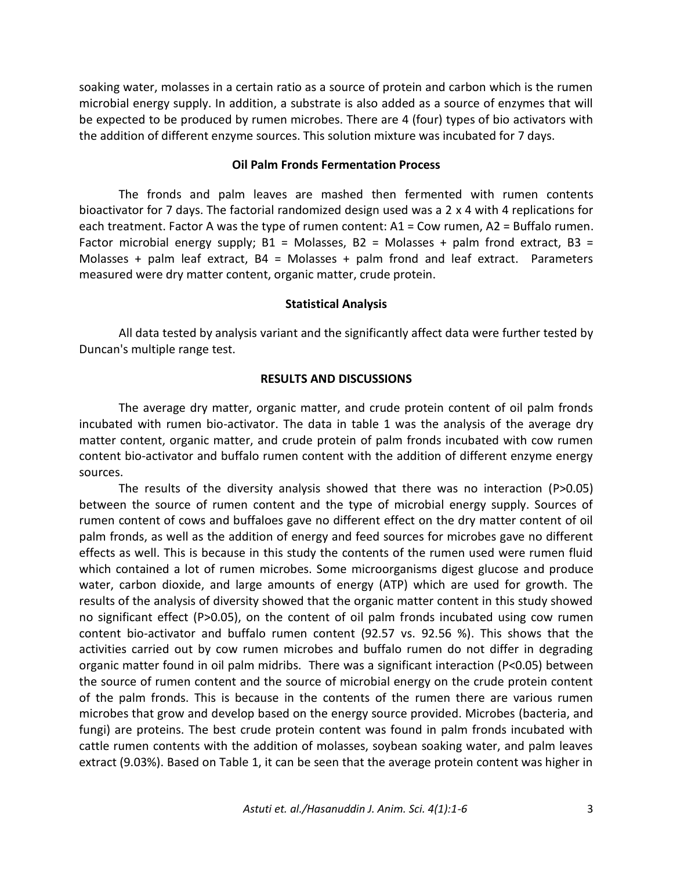soaking water, molasses in a certain ratio as a source of protein and carbon which is the rumen microbial energy supply. In addition, a substrate is also added as a source of enzymes that will be expected to be produced by rumen microbes. There are 4 (four) types of bio activators with the addition of different enzyme sources. This solution mixture was incubated for 7 days.

#### **Oil Palm Fronds Fermentation Process**

The fronds and palm leaves are mashed then fermented with rumen contents bioactivator for 7 days. The factorial randomized design used was a 2 x 4 with 4 replications for each treatment. Factor A was the type of rumen content: A1 = Cow rumen, A2 = Buffalo rumen. Factor microbial energy supply;  $B1 = Molasses$ ,  $B2 = Molasses + palm$  frond extract,  $B3 =$ Molasses + palm leaf extract,  $B4 = Molasses + palm$  frond and leaf extract. Parameters measured were dry matter content, organic matter, crude protein.

#### **Statistical Analysis**

All data tested by analysis variant and the significantly affect data were further tested by Duncan's multiple range test.

### **RESULTS AND DISCUSSIONS**

The average dry matter, organic matter, and crude protein content of oil palm fronds incubated with rumen bio-activator. The data in table 1 was the analysis of the average dry matter content, organic matter, and crude protein of palm fronds incubated with cow rumen content bio-activator and buffalo rumen content with the addition of different enzyme energy sources.

The results of the diversity analysis showed that there was no interaction (P>0.05) between the source of rumen content and the type of microbial energy supply. Sources of rumen content of cows and buffaloes gave no different effect on the dry matter content of oil palm fronds, as well as the addition of energy and feed sources for microbes gave no different effects as well. This is because in this study the contents of the rumen used were rumen fluid which contained a lot of rumen microbes. Some microorganisms digest glucose and produce water, carbon dioxide, and large amounts of energy (ATP) which are used for growth. The results of the analysis of diversity showed that the organic matter content in this study showed no significant effect (P>0.05), on the content of oil palm fronds incubated using cow rumen content bio-activator and buffalo rumen content (92.57 vs. 92.56 %). This shows that the activities carried out by cow rumen microbes and buffalo rumen do not differ in degrading organic matter found in oil palm midribs. There was a significant interaction (P<0.05) between the source of rumen content and the source of microbial energy on the crude protein content of the palm fronds. This is because in the contents of the rumen there are various rumen microbes that grow and develop based on the energy source provided. Microbes (bacteria, and fungi) are proteins. The best crude protein content was found in palm fronds incubated with cattle rumen contents with the addition of molasses, soybean soaking water, and palm leaves extract (9.03%). Based on Table 1, it can be seen that the average protein content was higher in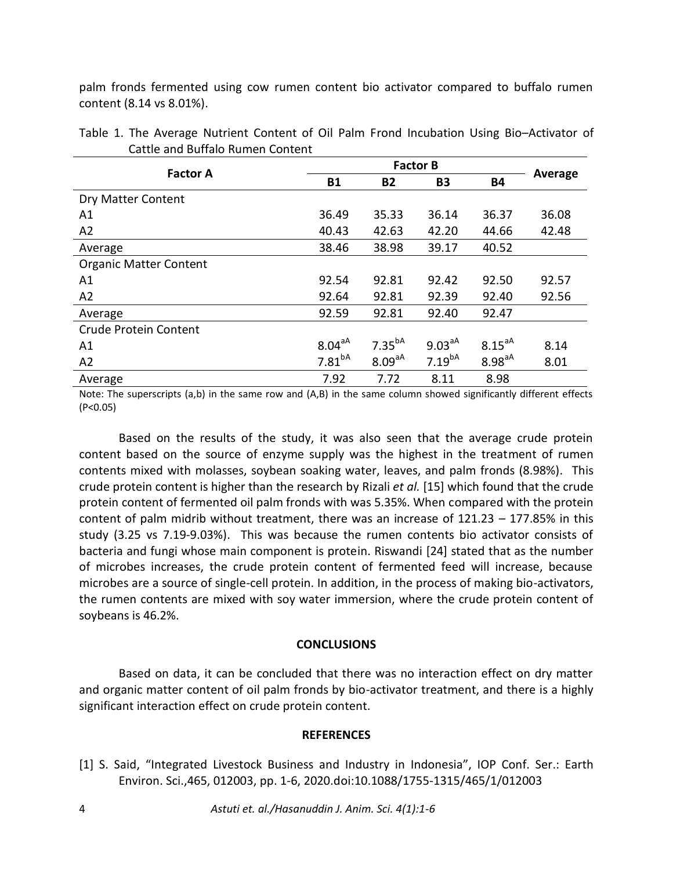palm fronds fermented using cow rumen content bio activator compared to buffalo rumen content (8.14 vs 8.01%).

| <b>Factor A</b>               | <b>B1</b>   | <b>B2</b>          | <b>B3</b>   | <b>B4</b>   | Average |  |
|-------------------------------|-------------|--------------------|-------------|-------------|---------|--|
| Dry Matter Content            |             |                    |             |             |         |  |
| A1                            | 36.49       | 35.33              | 36.14       | 36.37       | 36.08   |  |
| A2                            | 40.43       | 42.63              | 42.20       | 44.66       | 42.48   |  |
| Average                       | 38.46       | 38.98              | 39.17       | 40.52       |         |  |
| <b>Organic Matter Content</b> |             |                    |             |             |         |  |
| A1                            | 92.54       | 92.81              | 92.42       | 92.50       | 92.57   |  |
| A2                            | 92.64       | 92.81              | 92.39       | 92.40       | 92.56   |  |
| Average                       | 92.59       | 92.81              | 92.40       | 92.47       |         |  |
| Crude Protein Content         |             |                    |             |             |         |  |
| A1                            | $8.04^{aA}$ | 7.35 <sup>ba</sup> | $9.03^{aA}$ | $8.15^{aA}$ | 8.14    |  |
| A2                            | $7.81^{bA}$ | 8.09 <sup>aA</sup> | $7.19^{bA}$ | $8.98^{aA}$ | 8.01    |  |
| Average                       | 7.92        | 7.72               | 8.11        | 8.98        |         |  |

|                                  | Table 1. The Average Nutrient Content of Oil Palm Frond Incubation Using Bio-Activator of |  |  |  |  |  |  |  |
|----------------------------------|-------------------------------------------------------------------------------------------|--|--|--|--|--|--|--|
| Cattle and Buffalo Rumen Content |                                                                                           |  |  |  |  |  |  |  |

Note: The superscripts (a,b) in the same row and (A,B) in the same column showed significantly different effects (P<0.05)

Based on the results of the study, it was also seen that the average crude protein content based on the source of enzyme supply was the highest in the treatment of rumen contents mixed with molasses, soybean soaking water, leaves, and palm fronds (8.98%). This crude protein content is higher than the research by Rizali *et al.* [15] which found that the crude protein content of fermented oil palm fronds with was 5.35%. When compared with the protein content of palm midrib without treatment, there was an increase of 121.23 – 177.85% in this study (3.25 vs 7.19-9.03%). This was because the rumen contents bio activator consists of bacteria and fungi whose main component is protein. Riswandi [24] stated that as the number of microbes increases, the crude protein content of fermented feed will increase, because microbes are a source of single-cell protein. In addition, in the process of making bio-activators, the rumen contents are mixed with soy water immersion, where the crude protein content of soybeans is 46.2%.

## **CONCLUSIONS**

Based on data, it can be concluded that there was no interaction effect on dry matter and organic matter content of oil palm fronds by bio-activator treatment, and there is a highly significant interaction effect on crude protein content.

#### **REFERENCES**

[1] S. Said, "Integrated Livestock Business and Industry in Indonesia", IOP Conf. Ser.: Earth Environ. Sci.,465, 012003, pp. 1-6, 2020.doi:10.1088/1755-1315/465/1/012003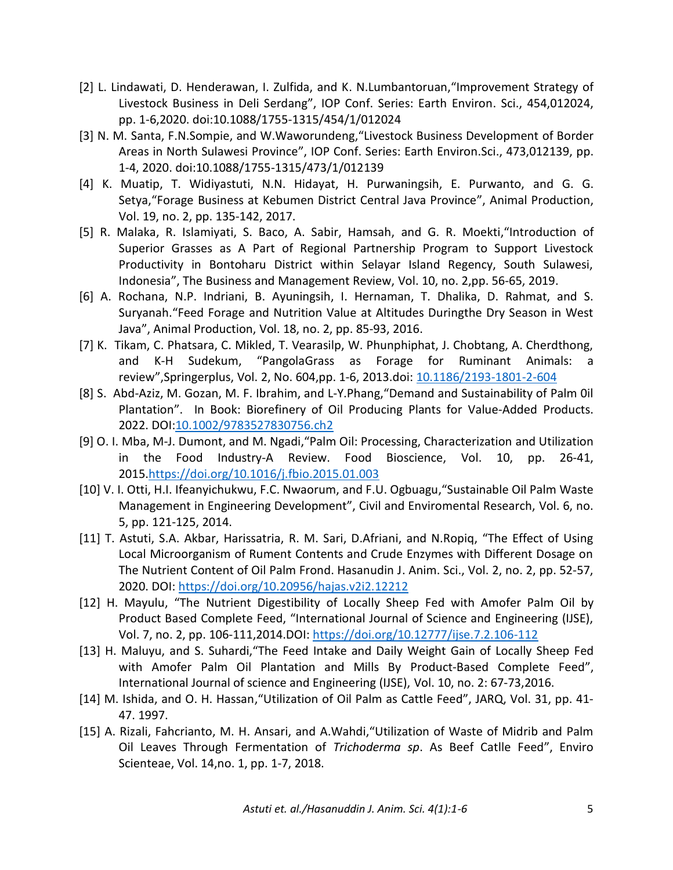- [2] L. Lindawati, D. Henderawan, I. Zulfida, and K. N.Lumbantoruan,"Improvement Strategy of Livestock Business in Deli Serdang", IOP Conf. Series: Earth Environ. Sci., 454,012024, pp. 1-6,2020. doi:10.1088/1755-1315/454/1/012024
- [3] N. M. Santa, F.N.Sompie, and W.Waworundeng,"Livestock Business Development of Border Areas in North Sulawesi Province", IOP Conf. Series: Earth Environ.Sci., 473,012139, pp. 1-4, 2020. doi:10.1088/1755-1315/473/1/012139
- [4] K. Muatip, T. Widiyastuti, N.N. Hidayat, H. Purwaningsih, E. Purwanto, and G. G. Setya,"Forage Business at Kebumen District Central Java Province", Animal Production, Vol. 19, no. 2, pp. 135-142, 2017.
- [5] R. Malaka, R. Islamiyati, S. Baco, A. Sabir, Hamsah, and G. R. Moekti,"Introduction of Superior Grasses as A Part of Regional Partnership Program to Support Livestock Productivity in Bontoharu District within Selayar Island Regency, South Sulawesi, Indonesia", The Business and Management Review, Vol. 10, no. 2,pp. 56-65, 2019.
- [6] A. Rochana, N.P. Indriani, B. Ayuningsih, I. Hernaman, T. Dhalika, D. Rahmat, and S. Suryanah."Feed Forage and Nutrition Value at Altitudes Duringthe Dry Season in West Java", Animal Production, Vol. 18, no. 2, pp. 85-93, 2016.
- [7] K. Tikam, C. Phatsara, C. Mikled, T. Vearasilp, W. Phunphiphat, J. Chobtang, A. Cherdthong, and K-H Sudekum, "PangolaGrass as Forage for Ruminant Animals: a review",Springerplus, Vol. 2, No. 604,pp. 1-6, 2013.doi: [10.1186/2193-1801-2-604](https://dx.doi.org/10.1186%2F2193-1801-2-604)
- [8] S. Abd-Aziz, M. Gozan, M. F. Ibrahim, and L-Y.Phang,"Demand and Sustainability of Palm 0il Plantation". In Book: Biorefinery of Oil Producing Plants for Value-Added Products. 2022. DOI[:10.1002/9783527830756.ch2](http://dx.doi.org/10.1002/9783527830756.ch2)
- [9] O. I. Mba, M-J. Dumont, and M. Ngadi,"Palm Oil: Processing, Characterization and Utilization in the Food Industry-A Review. Food Bioscience, Vol. 10, pp. 26-41, 2015[.https://doi.org/10.1016/j.fbio.2015.01.003](https://doi.org/10.1016/j.fbio.2015.01.003)
- [10] V. I. Otti, H.I. Ifeanyichukwu, F.C. Nwaorum, and F.U. Ogbuagu, "Sustainable Oil Palm Waste Management in Engineering Development", Civil and Enviromental Research, Vol. 6, no. 5, pp. 121-125, 2014.
- [11] T. Astuti, S.A. Akbar, Harissatria, R. M. Sari, D.Afriani, and N.Ropiq, "The Effect of Using Local Microorganism of Rument Contents and Crude Enzymes with Different Dosage on The Nutrient Content of Oil Palm Frond. Hasanudin J. Anim. Sci., Vol. 2, no. 2, pp. 52-57, 2020. DOI:<https://doi.org/10.20956/hajas.v2i2.12212>
- [12] H. Mayulu, "The Nutrient Digestibility of Locally Sheep Fed with Amofer Palm Oil by Product Based Complete Feed, "International Journal of Science and Engineering (IJSE), Vol. 7, no. 2, pp. 106-111,2014.DOI:<https://doi.org/10.12777/ijse.7.2.106-112>
- [13] H. Maluyu, and S. Suhardi,"The Feed Intake and Daily Weight Gain of Locally Sheep Fed with Amofer Palm Oil Plantation and Mills By Product-Based Complete Feed", International Journal of science and Engineering (IJSE), Vol. 10, no. 2: 67-73,2016.
- [14] M. Ishida, and O. H. Hassan,"Utilization of Oil Palm as Cattle Feed", JARQ, Vol. 31, pp. 41- 47. 1997.
- [15] A. Rizali, Fahcrianto, M. H. Ansari, and A.Wahdi,"Utilization of Waste of Midrib and Palm Oil Leaves Through Fermentation of *Trichoderma sp*. As Beef Catlle Feed", Enviro Scienteae, Vol. 14,no. 1, pp. 1-7, 2018.